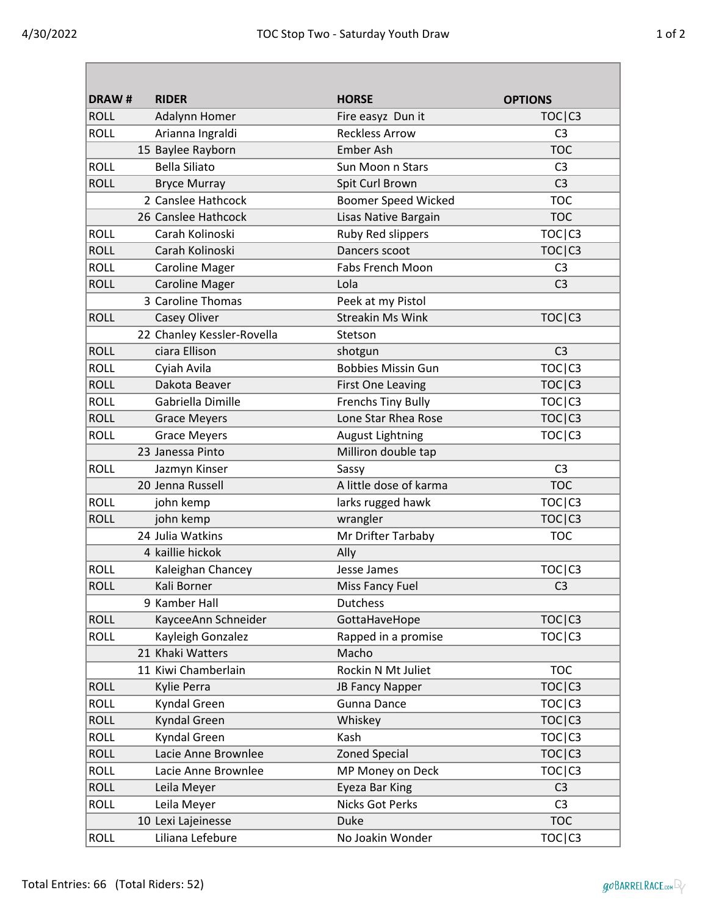| ×<br>I |
|--------|
|--------|

| <b>DRAW#</b> | <b>RIDER</b>               | <b>HORSE</b>               | <b>OPTIONS</b>                  |
|--------------|----------------------------|----------------------------|---------------------------------|
| <b>ROLL</b>  | Adalynn Homer              | Fire easyz Dun it          | TOC <sub> C3</sub>              |
| <b>ROLL</b>  | Arianna Ingraldi           | <b>Reckless Arrow</b>      | C <sub>3</sub>                  |
|              | 15 Baylee Rayborn          | <b>Ember Ash</b>           | <b>TOC</b>                      |
| <b>ROLL</b>  | <b>Bella Siliato</b>       | Sun Moon n Stars           | C <sub>3</sub>                  |
| <b>ROLL</b>  | <b>Bryce Murray</b>        | Spit Curl Brown            | C <sub>3</sub>                  |
|              | 2 Canslee Hathcock         | <b>Boomer Speed Wicked</b> | <b>TOC</b>                      |
|              | 26 Canslee Hathcock        | Lisas Native Bargain       | <b>TOC</b>                      |
| <b>ROLL</b>  | Carah Kolinoski            | Ruby Red slippers          | TOC <sub> C3</sub>              |
| <b>ROLL</b>  | Carah Kolinoski            | Dancers scoot              | TOC <sub> C3</sub>              |
| <b>ROLL</b>  | <b>Caroline Mager</b>      | <b>Fabs French Moon</b>    | C <sub>3</sub>                  |
| <b>ROLL</b>  | <b>Caroline Mager</b>      | Lola                       | C <sub>3</sub>                  |
|              | 3 Caroline Thomas          | Peek at my Pistol          |                                 |
| <b>ROLL</b>  | Casey Oliver               | <b>Streakin Ms Wink</b>    | TOC <sub> C3</sub>              |
|              | 22 Chanley Kessler-Rovella | Stetson                    |                                 |
| <b>ROLL</b>  | ciara Ellison              | shotgun                    | C <sub>3</sub>                  |
| <b>ROLL</b>  | Cyiah Avila                | <b>Bobbies Missin Gun</b>  | TOC <sub> C3</sub>              |
| <b>ROLL</b>  | Dakota Beaver              | <b>First One Leaving</b>   | TOC <sub> C3</sub>              |
| <b>ROLL</b>  | Gabriella Dimille          | <b>Frenchs Tiny Bully</b>  | TOC <sub>I</sub> C <sub>3</sub> |
| <b>ROLL</b>  | <b>Grace Meyers</b>        | Lone Star Rhea Rose        | TOC C3                          |
| <b>ROLL</b>  | <b>Grace Meyers</b>        | <b>August Lightning</b>    | TOC <sub> C3</sub>              |
|              | 23 Janessa Pinto           | Milliron double tap        |                                 |
| <b>ROLL</b>  | Jazmyn Kinser              | Sassy                      | C <sub>3</sub>                  |
|              | 20 Jenna Russell           | A little dose of karma     | <b>TOC</b>                      |
| <b>ROLL</b>  | john kemp                  | larks rugged hawk          | TOC C3                          |
| <b>ROLL</b>  | john kemp                  | wrangler                   | TOC C3                          |
|              | 24 Julia Watkins           | Mr Drifter Tarbaby         | <b>TOC</b>                      |
|              | 4 kaillie hickok           | Ally                       |                                 |
| <b>ROLL</b>  | Kaleighan Chancey          | Jesse James                | TOC <sub>I</sub> C <sub>3</sub> |
| <b>ROLL</b>  | Kali Borner                | Miss Fancy Fuel            | C <sub>3</sub>                  |
|              | 9 Kamber Hall              | <b>Dutchess</b>            |                                 |
| <b>ROLL</b>  | KayceeAnn Schneider        | GottaHaveHope              | TOC C3                          |
| <b>ROLL</b>  | Kayleigh Gonzalez          | Rapped in a promise        | TOC C3                          |
|              | 21 Khaki Watters           | Macho                      |                                 |
|              | 11 Kiwi Chamberlain        | Rockin N Mt Juliet         | <b>TOC</b>                      |
| <b>ROLL</b>  | Kylie Perra                | JB Fancy Napper            | TOC C3                          |
| <b>ROLL</b>  | Kyndal Green               | Gunna Dance                | TOC C3                          |
| <b>ROLL</b>  | Kyndal Green               | Whiskey                    | TOC <sub> C3</sub>              |
| <b>ROLL</b>  | Kyndal Green               | Kash                       | TOC C3                          |
| <b>ROLL</b>  | Lacie Anne Brownlee        | <b>Zoned Special</b>       | TOC C3                          |
| <b>ROLL</b>  | Lacie Anne Brownlee        | MP Money on Deck           | TOC C3                          |
| <b>ROLL</b>  | Leila Meyer                | Eyeza Bar King             | C <sub>3</sub>                  |
| <b>ROLL</b>  | Leila Meyer                | <b>Nicks Got Perks</b>     | C <sub>3</sub>                  |
|              | 10 Lexi Lajeinesse         | <b>Duke</b>                | <b>TOC</b>                      |
| <b>ROLL</b>  | Liliana Lefebure           | No Joakin Wonder           | TOC C3                          |